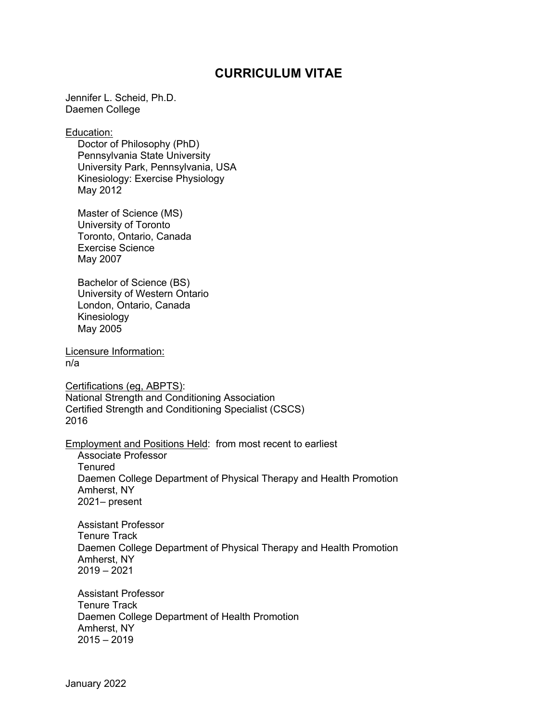## **CURRICULUM VITAE**

Jennifer L. Scheid, Ph.D. Daemen College

Education:

Doctor of Philosophy (PhD) Pennsylvania State University University Park, Pennsylvania, USA Kinesiology: Exercise Physiology May 2012

Master of Science (MS) University of Toronto Toronto, Ontario, Canada Exercise Science May 2007

Bachelor of Science (BS) University of Western Ontario London, Ontario, Canada Kinesiology May 2005

Licensure Information: n/a

Certifications (eg, ABPTS): National Strength and Conditioning Association Certified Strength and Conditioning Specialist (CSCS) 2016

Employment and Positions Held: from most recent to earliest

Associate Professor **Tenured** Daemen College Department of Physical Therapy and Health Promotion Amherst, NY 2021– present

Assistant Professor Tenure Track Daemen College Department of Physical Therapy and Health Promotion Amherst, NY 2019 – 2021

Assistant Professor Tenure Track Daemen College Department of Health Promotion Amherst, NY  $2015 - 2019$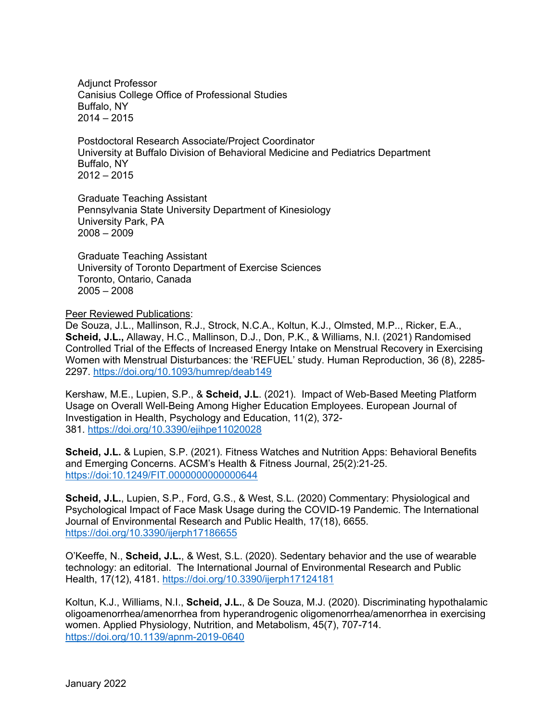Adjunct Professor Canisius College Office of Professional Studies Buffalo, NY  $2014 - 2015$ 

Postdoctoral Research Associate/Project Coordinator University at Buffalo Division of Behavioral Medicine and Pediatrics Department Buffalo, NY 2012 – 2015

Graduate Teaching Assistant Pennsylvania State University Department of Kinesiology University Park, PA 2008 – 2009

Graduate Teaching Assistant University of Toronto Department of Exercise Sciences Toronto, Ontario, Canada 2005 – 2008

Peer Reviewed Publications:

De Souza, J.L., Mallinson, R.J., Strock, N.C.A., Koltun, K.J., Olmsted, M.P.., Ricker, E.A., **Scheid, J.L.,** Allaway, H.C., Mallinson, D.J., Don, P.K., & Williams, N.I. (2021) Randomised Controlled Trial of the Effects of Increased Energy Intake on Menstrual Recovery in Exercising Women with Menstrual Disturbances: the 'REFUEL' study. Human Reproduction, 36 (8), 2285- 2297. https://doi.org/10.1093/humrep/deab149

Kershaw, M.E., Lupien, S.P., & **Scheid, J.L**. (2021). Impact of Web-Based Meeting Platform Usage on Overall Well-Being Among Higher Education Employees. European Journal of Investigation in Health, Psychology and Education, 11(2), 372- 381. https://doi.org/10.3390/ejihpe11020028

**Scheid, J.L.** & Lupien, S.P. (2021). Fitness Watches and Nutrition Apps: Behavioral Benefits and Emerging Concerns. ACSM's Health & Fitness Journal, 25(2):21-25. https://doi:10.1249/FIT.0000000000000644

**Scheid, J.L.**, Lupien, S.P., Ford, G.S., & West, S.L. (2020) Commentary: Physiological and Psychological Impact of Face Mask Usage during the COVID-19 Pandemic. The International Journal of Environmental Research and Public Health, 17(18), 6655. https://doi.org/10.3390/ijerph17186655

O'Keeffe, N., **Scheid, J.L.**, & West, S.L. (2020). Sedentary behavior and the use of wearable technology: an editorial. The International Journal of Environmental Research and Public Health, 17(12), 4181. https://doi.org/10.3390/ijerph17124181

Koltun, K.J., Williams, N.I., **Scheid, J.L.**, & De Souza, M.J. (2020). Discriminating hypothalamic oligoamenorrhea/amenorrhea from hyperandrogenic oligomenorrhea/amenorrhea in exercising women. Applied Physiology, Nutrition, and Metabolism, 45(7), 707-714. https://doi.org/10.1139/apnm-2019-0640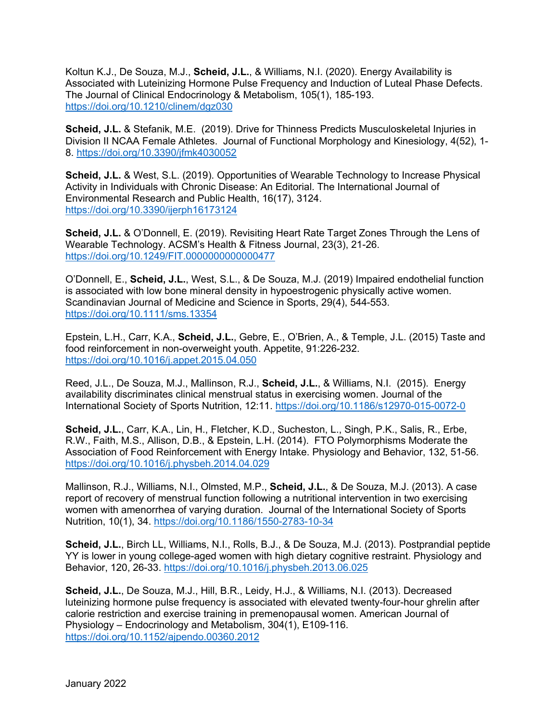Koltun K.J., De Souza, M.J., **Scheid, J.L.**, & Williams, N.I. (2020). Energy Availability is Associated with Luteinizing Hormone Pulse Frequency and Induction of Luteal Phase Defects. The Journal of Clinical Endocrinology & Metabolism, 105(1), 185-193. https://doi.org/10.1210/clinem/dgz030

**Scheid, J.L.** & Stefanik, M.E. (2019). Drive for Thinness Predicts Musculoskeletal Injuries in Division II NCAA Female Athletes. Journal of Functional Morphology and Kinesiology, 4(52), 1- 8. https://doi.org/10.3390/jfmk4030052

**Scheid, J.L.** & West, S.L. (2019). Opportunities of Wearable Technology to Increase Physical Activity in Individuals with Chronic Disease: An Editorial. The International Journal of Environmental Research and Public Health, 16(17), 3124. https://doi.org/10.3390/ijerph16173124

**Scheid, J.L.** & O'Donnell, E. (2019). Revisiting Heart Rate Target Zones Through the Lens of Wearable Technology. ACSM's Health & Fitness Journal, 23(3), 21-26. https://doi.org/10.1249/FIT.0000000000000477

O'Donnell, E., **Scheid, J.L.**, West, S.L., & De Souza, M.J. (2019) Impaired endothelial function is associated with low bone mineral density in hypoestrogenic physically active women. Scandinavian Journal of Medicine and Science in Sports, 29(4), 544-553. https://doi.org/10.1111/sms.13354

Epstein, L.H., Carr, K.A., **Scheid, J.L.**, Gebre, E., O'Brien, A., & Temple, J.L. (2015) Taste and food reinforcement in non-overweight youth. Appetite, 91:226-232. https://doi.org/10.1016/j.appet.2015.04.050

Reed, J.L., De Souza, M.J., Mallinson, R.J., **Scheid, J.L.**, & Williams, N.I. (2015). Energy availability discriminates clinical menstrual status in exercising women. Journal of the International Society of Sports Nutrition, 12:11. https://doi.org/10.1186/s12970-015-0072-0

**Scheid, J.L.**, Carr, K.A., Lin, H., Fletcher, K.D., Sucheston, L., Singh, P.K., Salis, R., Erbe, R.W., Faith, M.S., Allison, D.B., & Epstein, L.H. (2014). FTO Polymorphisms Moderate the Association of Food Reinforcement with Energy Intake. Physiology and Behavior, 132, 51-56. https://doi.org/10.1016/j.physbeh.2014.04.029

Mallinson, R.J., Williams, N.I., Olmsted, M.P., **Scheid, J.L.**, & De Souza, M.J. (2013). A case report of recovery of menstrual function following a nutritional intervention in two exercising women with amenorrhea of varying duration. Journal of the International Society of Sports Nutrition, 10(1), 34. https://doi.org/10.1186/1550-2783-10-34

**Scheid, J.L.**, Birch LL, Williams, N.I., Rolls, B.J., & De Souza, M.J. (2013). Postprandial peptide YY is lower in young college-aged women with high dietary cognitive restraint. Physiology and Behavior, 120, 26-33. https://doi.org/10.1016/j.physbeh.2013.06.025

**Scheid, J.L.**, De Souza, M.J., Hill, B.R., Leidy, H.J., & Williams, N.I. (2013). Decreased luteinizing hormone pulse frequency is associated with elevated twenty-four-hour ghrelin after calorie restriction and exercise training in premenopausal women. American Journal of Physiology – Endocrinology and Metabolism, 304(1), E109-116. https://doi.org/10.1152/ajpendo.00360.2012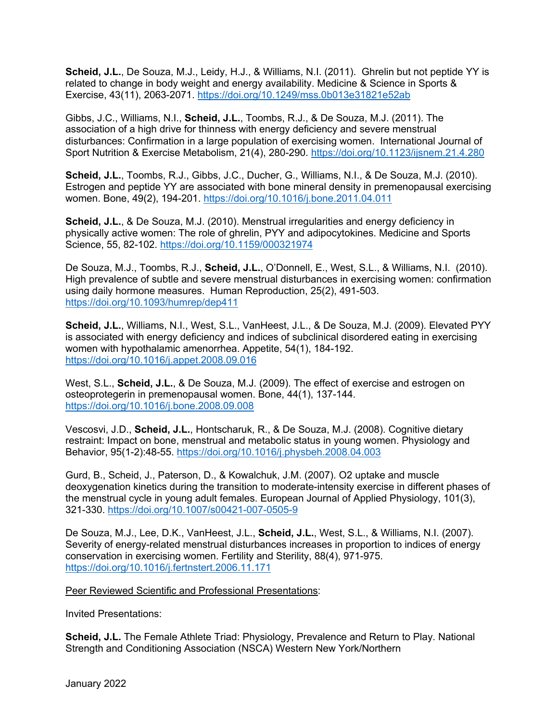**Scheid, J.L.**, De Souza, M.J., Leidy, H.J., & Williams, N.I. (2011). Ghrelin but not peptide YY is related to change in body weight and energy availability. Medicine & Science in Sports & Exercise, 43(11), 2063-2071. https://doi.org/10.1249/mss.0b013e31821e52ab

Gibbs, J.C., Williams, N.I., **Scheid, J.L.**, Toombs, R.J., & De Souza, M.J. (2011). The association of a high drive for thinness with energy deficiency and severe menstrual disturbances: Confirmation in a large population of exercising women. International Journal of Sport Nutrition & Exercise Metabolism, 21(4), 280-290. https://doi.org/10.1123/ijsnem.21.4.280

**Scheid, J.L.**, Toombs, R.J., Gibbs, J.C., Ducher, G., Williams, N.I., & De Souza, M.J. (2010). Estrogen and peptide YY are associated with bone mineral density in premenopausal exercising women. Bone, 49(2), 194-201. https://doi.org/10.1016/j.bone.2011.04.011

**Scheid, J.L.**, & De Souza, M.J. (2010). Menstrual irregularities and energy deficiency in physically active women: The role of ghrelin, PYY and adipocytokines. Medicine and Sports Science, 55, 82-102. https://doi.org/10.1159/000321974

De Souza, M.J., Toombs, R.J., **Scheid, J.L.**, O'Donnell, E., West, S.L., & Williams, N.I. (2010). High prevalence of subtle and severe menstrual disturbances in exercising women: confirmation using daily hormone measures. Human Reproduction, 25(2), 491-503. https://doi.org/10.1093/humrep/dep411

**Scheid, J.L.**, Williams, N.I., West, S.L., VanHeest, J.L., & De Souza, M.J. (2009). Elevated PYY is associated with energy deficiency and indices of subclinical disordered eating in exercising women with hypothalamic amenorrhea. Appetite, 54(1), 184-192. https://doi.org/10.1016/j.appet.2008.09.016

West, S.L., **Scheid, J.L.**, & De Souza, M.J. (2009). The effect of exercise and estrogen on osteoprotegerin in premenopausal women. Bone, 44(1), 137-144. https://doi.org/10.1016/j.bone.2008.09.008

Vescosvi, J.D., **Scheid, J.L.**, Hontscharuk, R., & De Souza, M.J. (2008). Cognitive dietary restraint: Impact on bone, menstrual and metabolic status in young women. Physiology and Behavior, 95(1-2):48-55. https://doi.org/10.1016/j.physbeh.2008.04.003

Gurd, B., Scheid, J., Paterson, D., & Kowalchuk, J.M. (2007). O2 uptake and muscle deoxygenation kinetics during the transition to moderate-intensity exercise in different phases of the menstrual cycle in young adult females. European Journal of Applied Physiology, 101(3), 321-330. https://doi.org/10.1007/s00421-007-0505-9

De Souza, M.J., Lee, D.K., VanHeest, J.L., **Scheid, J.L.**, West, S.L., & Williams, N.I. (2007). Severity of energy-related menstrual disturbances increases in proportion to indices of energy conservation in exercising women. Fertility and Sterility, 88(4), 971-975. https://doi.org/10.1016/j.fertnstert.2006.11.171

Peer Reviewed Scientific and Professional Presentations:

Invited Presentations:

**Scheid, J.L.** The Female Athlete Triad: Physiology, Prevalence and Return to Play. National Strength and Conditioning Association (NSCA) Western New York/Northern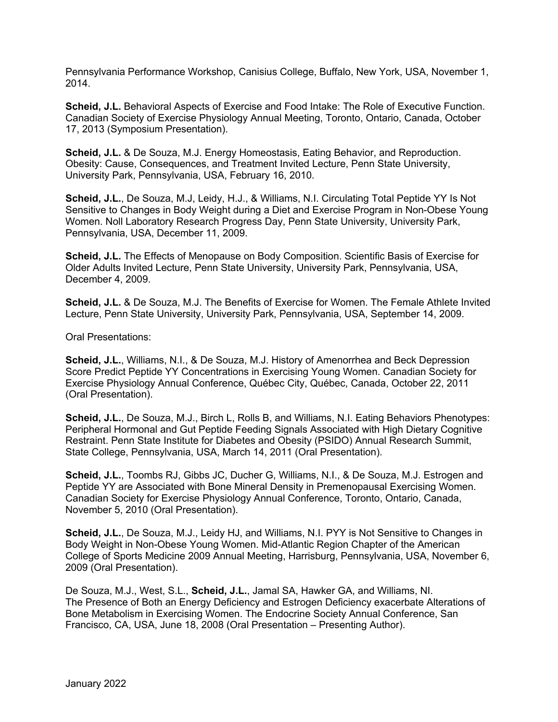Pennsylvania Performance Workshop, Canisius College, Buffalo, New York, USA, November 1, 2014.

**Scheid, J.L.** Behavioral Aspects of Exercise and Food Intake: The Role of Executive Function. Canadian Society of Exercise Physiology Annual Meeting, Toronto, Ontario, Canada, October 17, 2013 (Symposium Presentation).

**Scheid, J.L.** & De Souza, M.J. Energy Homeostasis, Eating Behavior, and Reproduction. Obesity: Cause, Consequences, and Treatment Invited Lecture, Penn State University, University Park, Pennsylvania, USA, February 16, 2010.

**Scheid, J.L.**, De Souza, M.J, Leidy, H.J., & Williams, N.I. Circulating Total Peptide YY Is Not Sensitive to Changes in Body Weight during a Diet and Exercise Program in Non-Obese Young Women. Noll Laboratory Research Progress Day, Penn State University, University Park, Pennsylvania, USA, December 11, 2009.

**Scheid, J.L.** The Effects of Menopause on Body Composition. Scientific Basis of Exercise for Older Adults Invited Lecture, Penn State University, University Park, Pennsylvania, USA, December 4, 2009.

**Scheid, J.L.** & De Souza, M.J. The Benefits of Exercise for Women. The Female Athlete Invited Lecture, Penn State University, University Park, Pennsylvania, USA, September 14, 2009.

Oral Presentations:

**Scheid, J.L.**, Williams, N.I., & De Souza, M.J. History of Amenorrhea and Beck Depression Score Predict Peptide YY Concentrations in Exercising Young Women. Canadian Society for Exercise Physiology Annual Conference, Québec City, Québec, Canada, October 22, 2011 (Oral Presentation).

**Scheid, J.L.**, De Souza, M.J., Birch L, Rolls B, and Williams, N.I. Eating Behaviors Phenotypes: Peripheral Hormonal and Gut Peptide Feeding Signals Associated with High Dietary Cognitive Restraint. Penn State Institute for Diabetes and Obesity (PSIDO) Annual Research Summit, State College, Pennsylvania, USA, March 14, 2011 (Oral Presentation).

**Scheid, J.L.**, Toombs RJ, Gibbs JC, Ducher G, Williams, N.I., & De Souza, M.J. Estrogen and Peptide YY are Associated with Bone Mineral Density in Premenopausal Exercising Women. Canadian Society for Exercise Physiology Annual Conference, Toronto, Ontario, Canada, November 5, 2010 (Oral Presentation).

**Scheid, J.L.**, De Souza, M.J., Leidy HJ, and Williams, N.I. PYY is Not Sensitive to Changes in Body Weight in Non-Obese Young Women. Mid-Atlantic Region Chapter of the American College of Sports Medicine 2009 Annual Meeting, Harrisburg, Pennsylvania, USA, November 6, 2009 (Oral Presentation).

De Souza, M.J., West, S.L., **Scheid, J.L.**, Jamal SA, Hawker GA, and Williams, NI. The Presence of Both an Energy Deficiency and Estrogen Deficiency exacerbate Alterations of Bone Metabolism in Exercising Women. The Endocrine Society Annual Conference, San Francisco, CA, USA, June 18, 2008 (Oral Presentation – Presenting Author).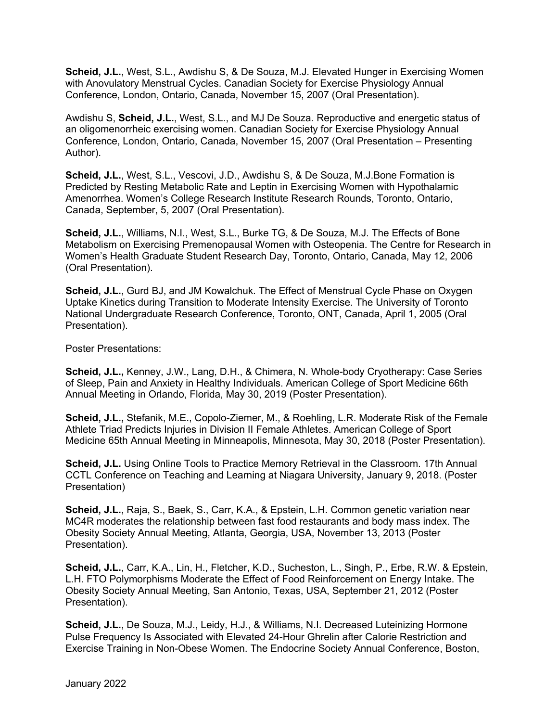**Scheid, J.L.**, West, S.L., Awdishu S, & De Souza, M.J. Elevated Hunger in Exercising Women with Anovulatory Menstrual Cycles. Canadian Society for Exercise Physiology Annual Conference, London, Ontario, Canada, November 15, 2007 (Oral Presentation).

Awdishu S, **Scheid, J.L.**, West, S.L., and MJ De Souza. Reproductive and energetic status of an oligomenorrheic exercising women. Canadian Society for Exercise Physiology Annual Conference, London, Ontario, Canada, November 15, 2007 (Oral Presentation – Presenting Author).

**Scheid, J.L.**, West, S.L., Vescovi, J.D., Awdishu S, & De Souza, M.J.Bone Formation is Predicted by Resting Metabolic Rate and Leptin in Exercising Women with Hypothalamic Amenorrhea. Women's College Research Institute Research Rounds, Toronto, Ontario, Canada, September, 5, 2007 (Oral Presentation).

**Scheid, J.L.**, Williams, N.I., West, S.L., Burke TG, & De Souza, M.J. The Effects of Bone Metabolism on Exercising Premenopausal Women with Osteopenia. The Centre for Research in Women's Health Graduate Student Research Day, Toronto, Ontario, Canada, May 12, 2006 (Oral Presentation).

**Scheid, J.L.**, Gurd BJ, and JM Kowalchuk. The Effect of Menstrual Cycle Phase on Oxygen Uptake Kinetics during Transition to Moderate Intensity Exercise. The University of Toronto National Undergraduate Research Conference, Toronto, ONT, Canada, April 1, 2005 (Oral Presentation).

Poster Presentations:

**Scheid, J.L.,** Kenney, J.W., Lang, D.H., & Chimera, N. Whole-body Cryotherapy: Case Series of Sleep, Pain and Anxiety in Healthy Individuals. American College of Sport Medicine 66th Annual Meeting in Orlando, Florida, May 30, 2019 (Poster Presentation).

**Scheid, J.L.,** Stefanik, M.E., Copolo-Ziemer, M., & Roehling, L.R. Moderate Risk of the Female Athlete Triad Predicts Injuries in Division II Female Athletes. American College of Sport Medicine 65th Annual Meeting in Minneapolis, Minnesota, May 30, 2018 (Poster Presentation).

**Scheid, J.L.** Using Online Tools to Practice Memory Retrieval in the Classroom. 17th Annual CCTL Conference on Teaching and Learning at Niagara University, January 9, 2018. (Poster Presentation)

**Scheid, J.L.**, Raja, S., Baek, S., Carr, K.A., & Epstein, L.H. Common genetic variation near MC4R moderates the relationship between fast food restaurants and body mass index. The Obesity Society Annual Meeting, Atlanta, Georgia, USA, November 13, 2013 (Poster Presentation).

**Scheid, J.L.**, Carr, K.A., Lin, H., Fletcher, K.D., Sucheston, L., Singh, P., Erbe, R.W. & Epstein, L.H. FTO Polymorphisms Moderate the Effect of Food Reinforcement on Energy Intake. The Obesity Society Annual Meeting, San Antonio, Texas, USA, September 21, 2012 (Poster Presentation).

**Scheid, J.L.**, De Souza, M.J., Leidy, H.J., & Williams, N.I. Decreased Luteinizing Hormone Pulse Frequency Is Associated with Elevated 24-Hour Ghrelin after Calorie Restriction and Exercise Training in Non-Obese Women. The Endocrine Society Annual Conference, Boston,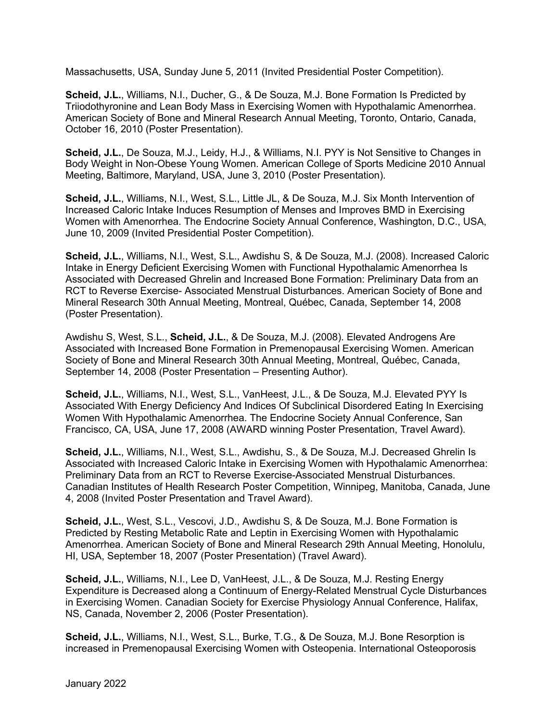Massachusetts, USA, Sunday June 5, 2011 (Invited Presidential Poster Competition).

**Scheid, J.L.**, Williams, N.I., Ducher, G., & De Souza, M.J. Bone Formation Is Predicted by Triiodothyronine and Lean Body Mass in Exercising Women with Hypothalamic Amenorrhea. American Society of Bone and Mineral Research Annual Meeting, Toronto, Ontario, Canada, October 16, 2010 (Poster Presentation).

**Scheid, J.L.**, De Souza, M.J., Leidy, H.J., & Williams, N.I. PYY is Not Sensitive to Changes in Body Weight in Non-Obese Young Women. American College of Sports Medicine 2010 Annual Meeting, Baltimore, Maryland, USA, June 3, 2010 (Poster Presentation).

**Scheid, J.L.**, Williams, N.I., West, S.L., Little JL, & De Souza, M.J. Six Month Intervention of Increased Caloric Intake Induces Resumption of Menses and Improves BMD in Exercising Women with Amenorrhea. The Endocrine Society Annual Conference, Washington, D.C., USA, June 10, 2009 (Invited Presidential Poster Competition).

**Scheid, J.L.**, Williams, N.I., West, S.L., Awdishu S, & De Souza, M.J. (2008). Increased Caloric Intake in Energy Deficient Exercising Women with Functional Hypothalamic Amenorrhea Is Associated with Decreased Ghrelin and Increased Bone Formation: Preliminary Data from an RCT to Reverse Exercise- Associated Menstrual Disturbances. American Society of Bone and Mineral Research 30th Annual Meeting, Montreal, Québec, Canada, September 14, 2008 (Poster Presentation).

Awdishu S, West, S.L., **Scheid, J.L.**, & De Souza, M.J. (2008). Elevated Androgens Are Associated with Increased Bone Formation in Premenopausal Exercising Women. American Society of Bone and Mineral Research 30th Annual Meeting, Montreal, Québec, Canada, September 14, 2008 (Poster Presentation – Presenting Author).

**Scheid, J.L.**, Williams, N.I., West, S.L., VanHeest, J.L., & De Souza, M.J. Elevated PYY Is Associated With Energy Deficiency And Indices Of Subclinical Disordered Eating In Exercising Women With Hypothalamic Amenorrhea. The Endocrine Society Annual Conference, San Francisco, CA, USA, June 17, 2008 (AWARD winning Poster Presentation, Travel Award).

**Scheid, J.L.**, Williams, N.I., West, S.L., Awdishu, S., & De Souza, M.J. Decreased Ghrelin Is Associated with Increased Caloric Intake in Exercising Women with Hypothalamic Amenorrhea: Preliminary Data from an RCT to Reverse Exercise-Associated Menstrual Disturbances. Canadian Institutes of Health Research Poster Competition, Winnipeg, Manitoba, Canada, June 4, 2008 (Invited Poster Presentation and Travel Award).

**Scheid, J.L.**, West, S.L., Vescovi, J.D., Awdishu S, & De Souza, M.J. Bone Formation is Predicted by Resting Metabolic Rate and Leptin in Exercising Women with Hypothalamic Amenorrhea. American Society of Bone and Mineral Research 29th Annual Meeting, Honolulu, HI, USA, September 18, 2007 (Poster Presentation) (Travel Award).

**Scheid, J.L.**, Williams, N.I., Lee D, VanHeest, J.L., & De Souza, M.J. Resting Energy Expenditure is Decreased along a Continuum of Energy-Related Menstrual Cycle Disturbances in Exercising Women. Canadian Society for Exercise Physiology Annual Conference, Halifax, NS, Canada, November 2, 2006 (Poster Presentation).

**Scheid, J.L.**, Williams, N.I., West, S.L., Burke, T.G., & De Souza, M.J. Bone Resorption is increased in Premenopausal Exercising Women with Osteopenia. International Osteoporosis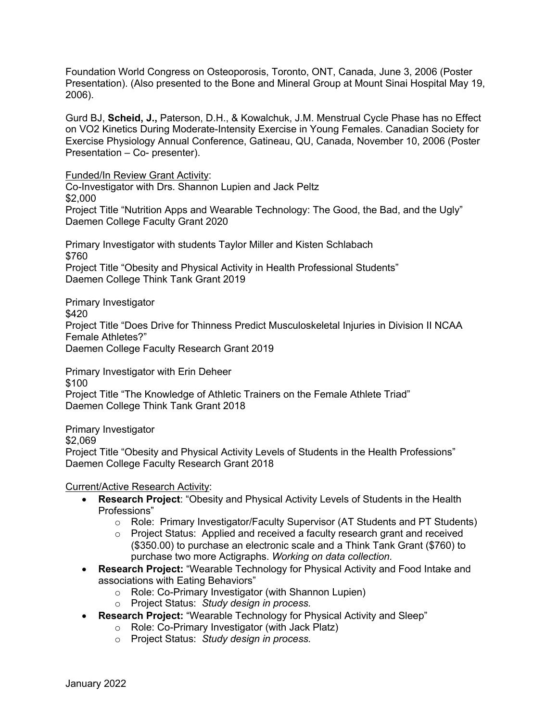Foundation World Congress on Osteoporosis, Toronto, ONT, Canada, June 3, 2006 (Poster Presentation). (Also presented to the Bone and Mineral Group at Mount Sinai Hospital May 19, 2006).

Gurd BJ, **Scheid, J.,** Paterson, D.H., & Kowalchuk, J.M. Menstrual Cycle Phase has no Effect on VO2 Kinetics During Moderate-Intensity Exercise in Young Females. Canadian Society for Exercise Physiology Annual Conference, Gatineau, QU, Canada, November 10, 2006 (Poster Presentation – Co- presenter).

Funded/In Review Grant Activity:

Co-Investigator with Drs. Shannon Lupien and Jack Peltz \$2,000 Project Title "Nutrition Apps and Wearable Technology: The Good, the Bad, and the Ugly" Daemen College Faculty Grant 2020

Primary Investigator with students Taylor Miller and Kisten Schlabach \$760 Project Title "Obesity and Physical Activity in Health Professional Students" Daemen College Think Tank Grant 2019

Primary Investigator \$420 Project Title "Does Drive for Thinness Predict Musculoskeletal Injuries in Division II NCAA Female Athletes?" Daemen College Faculty Research Grant 2019

Primary Investigator with Erin Deheer \$100 Project Title "The Knowledge of Athletic Trainers on the Female Athlete Triad" Daemen College Think Tank Grant 2018

Primary Investigator \$2,069 Project Title "Obesity and Physical Activity Levels of Students in the Health Professions" Daemen College Faculty Research Grant 2018

## Current/Active Research Activity:

- **Research Project**: "Obesity and Physical Activity Levels of Students in the Health Professions"
	- o Role: Primary Investigator/Faculty Supervisor (AT Students and PT Students)
	- $\circ$  Project Status: Applied and received a faculty research grant and received (\$350.00) to purchase an electronic scale and a Think Tank Grant (\$760) to purchase two more Actigraphs. *Working on data collection.*
- **Research Project:** "Wearable Technology for Physical Activity and Food Intake and associations with Eating Behaviors"
	- o Role: Co-Primary Investigator (with Shannon Lupien)
	- o Project Status: *Study design in process.*
- **Research Project:** "Wearable Technology for Physical Activity and Sleep"
	- o Role: Co-Primary Investigator (with Jack Platz)
		- o Project Status: *Study design in process.*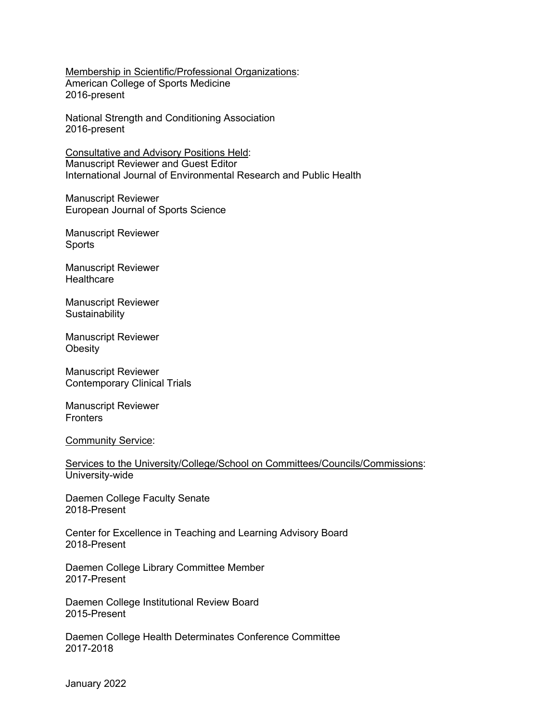Membership in Scientific/Professional Organizations: American College of Sports Medicine 2016-present

National Strength and Conditioning Association 2016-present

Consultative and Advisory Positions Held: Manuscript Reviewer and Guest Editor International Journal of Environmental Research and Public Health

Manuscript Reviewer European Journal of Sports Science

Manuscript Reviewer **Sports** 

Manuscript Reviewer **Healthcare** 

Manuscript Reviewer **Sustainability** 

Manuscript Reviewer **Obesity** 

Manuscript Reviewer Contemporary Clinical Trials

Manuscript Reviewer **Fronters** 

Community Service:

Services to the University/College/School on Committees/Councils/Commissions: University-wide

Daemen College Faculty Senate 2018-Present

Center for Excellence in Teaching and Learning Advisory Board 2018-Present

Daemen College Library Committee Member 2017-Present

Daemen College Institutional Review Board 2015-Present

Daemen College Health Determinates Conference Committee 2017-2018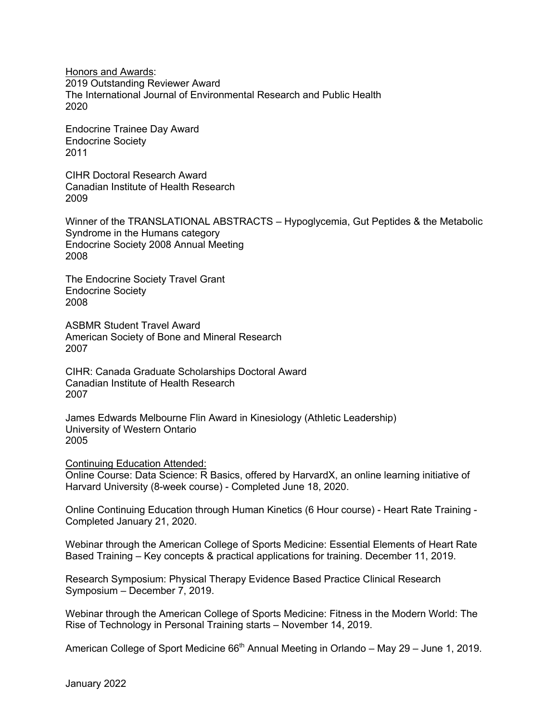Honors and Awards: 2019 Outstanding Reviewer Award The International Journal of Environmental Research and Public Health 2020

Endocrine Trainee Day Award Endocrine Society 2011

CIHR Doctoral Research Award Canadian Institute of Health Research 2009

Winner of the TRANSLATIONAL ABSTRACTS – Hypoglycemia, Gut Peptides & the Metabolic Syndrome in the Humans category Endocrine Society 2008 Annual Meeting 2008

The Endocrine Society Travel Grant Endocrine Society 2008

ASBMR Student Travel Award American Society of Bone and Mineral Research 2007

CIHR: Canada Graduate Scholarships Doctoral Award Canadian Institute of Health Research 2007

James Edwards Melbourne Flin Award in Kinesiology (Athletic Leadership) University of Western Ontario 2005

Continuing Education Attended: Online Course: Data Science: R Basics, offered by HarvardX, an online learning initiative of Harvard University (8-week course) - Completed June 18, 2020.

Online Continuing Education through Human Kinetics (6 Hour course) - Heart Rate Training - Completed January 21, 2020.

Webinar through the American College of Sports Medicine: Essential Elements of Heart Rate Based Training – Key concepts & practical applications for training. December 11, 2019.

Research Symposium: Physical Therapy Evidence Based Practice Clinical Research Symposium – December 7, 2019.

Webinar through the American College of Sports Medicine: Fitness in the Modern World: The Rise of Technology in Personal Training starts – November 14, 2019.

American College of Sport Medicine  $66<sup>th</sup>$  Annual Meeting in Orlando – May 29 – June 1, 2019.